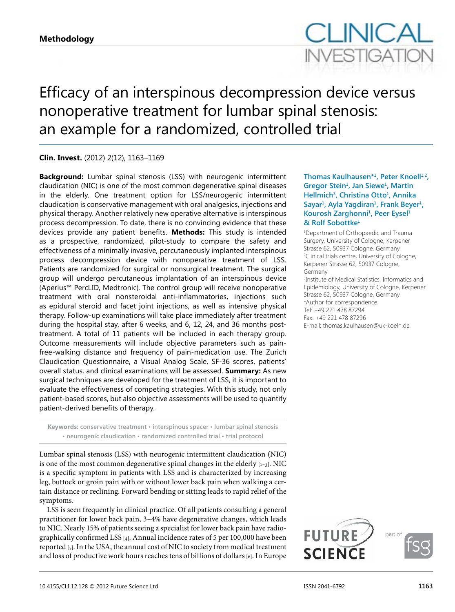

# Efficacy of an interspinous decompression device versus nonoperative treatment for lumbar spinal stenosis: an example for a randomized, controlled trial

# **Clin. Invest.** (2012) 2(12), 1163–1169

**Background:** Lumbar spinal stenosis (LSS) with neurogenic intermittent claudication (NIC) is one of the most common degenerative spinal diseases in the elderly. One treatment option for LSS/neurogenic intermittent claudication is conservative management with oral analgesics, injections and physical therapy. Another relatively new operative alternative is interspinous process decompression. To date, there is no convincing evidence that these devices provide any patient benefits. **Methods:** This study is intended as a prospective, randomized, pilot-study to compare the safety and effectiveness of a minimally invasive, percutaneously implanted interspinous process decompression device with nonoperative treatment of LSS. Patients are randomized for surgical or nonsurgical treatment. The surgical group will undergo percutaneous implantation of an interspinous device (Aperius™ PercLID, Medtronic). The control group will receive nonoperative treatment with oral nonsteroidal anti-inflammatories, injections such as epidural steroid and facet joint injections, as well as intensive physical therapy. Follow-up examinations will take place immediately after treatment during the hospital stay, after 6 weeks, and 6, 12, 24, and 36 months posttreatment. A total of 11 patients will be included in each therapy group. Outcome measurements will include objective parameters such as painfree-walking distance and frequency of pain-medication use. The Zurich Claudication Questionnaire, a Visual Analog Scale, SF-36 scores, patients' overall status, and clinical examinations will be assessed. **Summary:** As new surgical techniques are developed for the treatment of LSS, it is important to evaluate the effectiveness of competing strategies. With this study, not only patient-based scores, but also objective assessments will be used to quantify patient-derived benefits of therapy.

**Keywords: conservative treatment • interspinous spacer • lumbar spinal stenosis • neurogenic claudication • randomized controlled trial • trial protocol**

Lumbar spinal stenosis (LSS) with neurogenic intermittent claudication (NIC) is one of the most common degenerative spinal changes in the elderly  $_{[1-3]}$ . NIC is a specific symptom in patients with LSS and is characterized by increasing leg, buttock or groin pain with or without lower back pain when walking a certain distance or reclining. Forward bending or sitting leads to rapid relief of the symptoms.

LSS is seen frequently in clinical practice. Of all patients consulting a general practitioner for lower back pain, 3–4% have degenerative changes, which leads to NIC. Nearly 15% of patients seeing a specialist for lower back pain have radiographically confirmed LSS [4]. Annual incidence rates of 5 per 100,000 have been reported [5]. In the USA, the annual cost of NIC to society from medical treatment and loss of productive work hours reaches tens of billions of dollars [6]. In Europe

**Thomas Kaulhausen\*1, Peter Knoell1,2, Gregor Stein1, Jan Siewe1, Martin Hellmich<sup>3</sup>, Christina Otto<sup>1</sup>, Annika Sayar1, Ayla Yagdiran1, Frank Beyer1, Kourosh Zarghonni1, Peer Eysel<sup>1</sup> & Rolf Sobottke<sup>1</sup>**

1 Department of Orthopaedic and Trauma Surgery, University of Cologne, Kerpener Strasse 62, 50937 Cologne, Germany 2 Clinical trials centre, University of Cologne, Kerpener Strasse 62, 50937 Cologne, Germany 3 Institute of Medical Statistics, Informatics and Epidemiology, University of Cologne, Kerpener Strasse 62, 50937 Cologne, Germany \*Author for correspondence Tel: +49 221 478 87294 Fax: +49 221 478 87296 E-mail: thomas.kaulhausen@uk-koeln.de

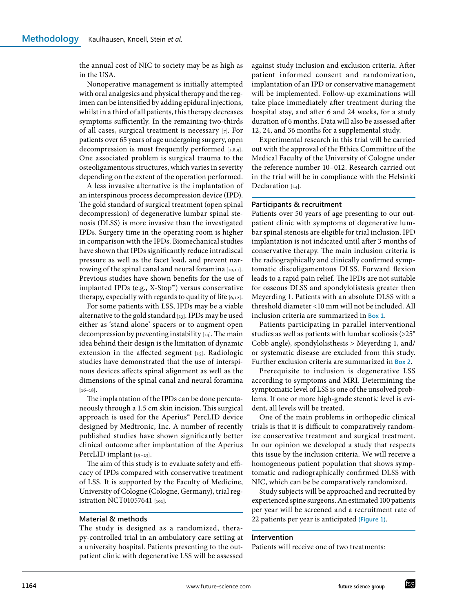the annual cost of NIC to society may be as high as in the USA.

Nonoperative management is initially attempted with oral analgesics and physical therapy and the regimen can be intensified by adding epidural injections, whilst in a third of all patients, this therapy decreases symptoms sufficiently. In the remaining two-thirds of all cases, surgical treatment is necessary [7]. For patients over 65 years of age undergoing surgery, open decompression is most frequently performed [1,8,9]. One associated problem is surgical trauma to the osteoligamentous structures, which varies in severity depending on the extent of the operation performed.

A less invasive alternative is the implantation of an interspinous process decompression device (IPD). The gold standard of surgical treatment (open spinal decompression) of degenerative lumbar spinal stenosis (DLSS) is more invasive than the investigated IPDs. Surgery time in the operating room is higher in comparison with the IPDs. Biomechanical studies have shown that IPDs significantly reduce intradiscal pressure as well as the facet load, and prevent narrowing of the spinal canal and neural foramina [10,11]. Previous studies have shown benefits for the use of implanted IPDs (e.g., X-Stop™) versus conservative therapy, especially with regards to quality of life [6,12].

For some patients with LSS, IPDs may be a viable alternative to the gold standard [13]. IPDs may be used either as 'stand alone' spacers or to augment open decompression by preventing instability [14]. The main idea behind their design is the limitation of dynamic extension in the affected segment [15]. Radiologic studies have demonstrated that the use of interspinous devices affects spinal alignment as well as the dimensions of the spinal canal and neural foramina  $[16-18]$ .

The implantation of the IPDs can be done percutaneously through a 1.5 cm skin incision. This surgical approach is used for the Aperius™ PercLID device designed by Medtronic, Inc. A number of recently published studies have shown significantly better clinical outcome after implantation of the Aperius PercLID implant [19-23].

The aim of this study is to evaluate safety and efficacy of IPDs compared with conservative treatment of LSS. It is supported by the Faculty of Medicine, University of Cologne (Cologne, Germany), trial registration NCT01057641 [101].

## **Material & methods**

The study is designed as a randomized, therapy-controlled trial in an ambulatory care setting at a university hospital. Patients presenting to the outpatient clinic with degenerative LSS will be assessed against study inclusion and exclusion criteria. After patient informed consent and randomization, implantation of an IPD or conservative management will be implemented. Follow-up examinations will take place immediately after treatment during the hospital stay, and after 6 and 24 weeks, for a study duration of 6 months. Data will also be assessed after 12, 24, and 36 months for a supplemental study.

Experimental research in this trial will be carried out with the approval of the Ethics Committee of the Medical Faculty of the University of Cologne under the reference number 10–012. Research carried out in the trial will be in compliance with the Helsinki Declaration [24].

#### **Participants & recruitment**

Patients over 50 years of age presenting to our outpatient clinic with symptoms of degenerative lumbar spinal stenosis are eligible for trial inclusion. IPD implantation is not indicated until after 3 months of conservative therapy. The main inclusion criteria is the radiographically and clinically confirmed symptomatic discoligamentous DLSS. Forward flexion leads to a rapid pain relief. The IPDs are not suitable for osseous DLSS and spondylolistesis greater then Meyerding 1. Patients with an absolute DLSS with a threshold diameter <10 mm will not be included. All inclusion criteria are summarized in **Box 1**.

Patients participating in parallel interventional studies as well as patients with lumbar scoliosis (>25° Cobb angle), spondylolisthesis > Meyerding 1, and/ or systematic disease are excluded from this study. Further exclusion criteria are summarized in **Box 2**.

Prerequisite to inclusion is degenerative LSS according to symptoms and MRI. Determining the symptomatic level of LSS is one of the unsolved problems. If one or more high-grade stenotic level is evident, all levels will be treated.

One of the main problems in orthopedic clinical trials is that it is difficult to comparatively randomize conservative treatment and surgical treatment. In our opinion we developed a study that respects this issue by the inclusion criteria. We will receive a homogeneous patient population that shows symptomatic and radiographically confirmed DLSS with NIC, which can be be comparatively randomized.

Study subjects will be approached and recruited by experienced spine surgeons. An estimated 100 patients per year will be screened and a recruitment rate of 22 patients per year is anticipated **(Figure 1)**.

# **Intervention**

Patients will receive one of two treatments:

fsg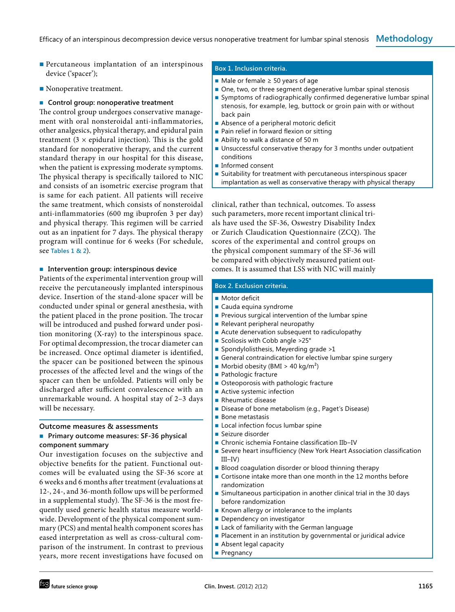- Percutaneous implantation of an interspinous device ('spacer');
- Nonoperative treatment.

#### ■ **Control group: nonoperative treatment**

The control group undergoes conservative management with oral nonsteroidal anti-inflammatories, other analgesics, physical therapy, and epidural pain treatment  $(3 \times$  epidural injection). This is the gold standard for nonoperative therapy, and the current standard therapy in our hospital for this disease, when the patient is expressing moderate symptoms. The physical therapy is specifically tailored to NIC and consists of an isometric exercise program that is same for each patient. All patients will receive the same treatment, which consists of nonsteroidal anti-inflammatories (600 mg ibuprofen 3 per day) and physical therapy. This regimen will be carried out as an inpatient for 7 days. The physical therapy program will continue for 6 weeks (For schedule, see **Tables 1 & 2**).

#### ■ **Intervention group: interspinous device**

Patients of the experimental intervention group will receive the percutaneously implanted interspinous device. Insertion of the stand-alone spacer will be conducted under spinal or general anesthesia, with the patient placed in the prone position. The trocar will be introduced and pushed forward under position monitoring  $(X-ray)$  to the interspinous space. For optimal decompression, the trocar diameter can be increased. Once optimal diameter is identified, the spacer can be positioned between the spinous processes of the affected level and the wings of the spacer can then be unfolded. Patients will only be discharged after sufficient convalescence with an unremarkable wound. A hospital stay of 2–3 days will be necessary.

#### **Outcome measures & assessments**

## ■ **Primary outcome measures: SF‑36 physical component summary**

Our investigation focuses on the subjective and objective benefits for the patient. Functional outcomes will be evaluated using the SF-36 score at 6 weeks and 6 months after treatment (evaluations at 12-, 24-, and 36-month follow ups will be performed in a supplemental study). The SF-36 is the most frequently used generic health status measure worldwide. Development of the physical component summary (PCS) and mental health component scores has eased interpretation as well as cross-cultural comparison of the instrument. In contrast to previous years, more recent investigations have focused on

## **Box 1. Inclusion criteria.**

- Male or female  $≥$  50 years of age
- One, two, or three segment degenerative lumbar spinal stenosis
- Symptoms of radiographically confirmed degenerative lumbar spinal stenosis, for example, leg, buttock or groin pain with or without back pain
- Absence of a peripheral motoric deficit
- Pain relief in forward flexion or sitting
- Ability to walk a distance of 50 m
- Unsuccessful conservative therapy for 3 months under outpatient conditions
- Informed consent
- Suitability for treatment with percutaneous interspinous spacer implantation as well as conservative therapy with physical therapy

clinical, rather than technical, outcomes. To assess such parameters, more recent important clinical trials have used the SF-36, Oswestry Disability Index or Zurich Claudication Questionnaire (ZCQ). The scores of the experimental and control groups on the physical component summary of the SF-36 will be compared with objectively measured patient outcomes. It is assumed that LSS with NIC will mainly

# **Box 2. Exclusion criteria.**

- Motor deficit
- Cauda equina syndrome
- Previous surgical intervention of the lumbar spine
- Relevant peripheral neuropathy
- Acute denervation subsequent to radiculopathy
- Scoliosis with Cobb angle >25°
- Spondylolisthesis, Meyerding grade >1
- General contraindication for elective lumbar spine surgery
- $\blacksquare$  Morbid obesity (BMI > 40 kg/m<sup>2</sup>)
- Pathologic fracture
- Osteoporosis with pathologic fracture
- Active systemic infection
- Rheumatic disease
- Disease of bone metabolism (e.g., Paget's Disease)
- Bone metastasis
- Local infection focus lumbar spine
- Seizure disorder
- Chronic ischemia Fontaine classification IIb-IV
- Severe heart insufficiency (New York Heart Association classification III–IV)
- Blood coagulation disorder or blood thinning therapy
- Cortisone intake more than one month in the 12 months before randomization
- Simultaneous participation in another clinical trial in the 30 days before randomization
- Known allergy or intolerance to the implants
- Dependency on investigator
- Lack of familiarity with the German language
- Placement in an institution by governmental or juridical advice
- Absent legal capacity
- Pregnancy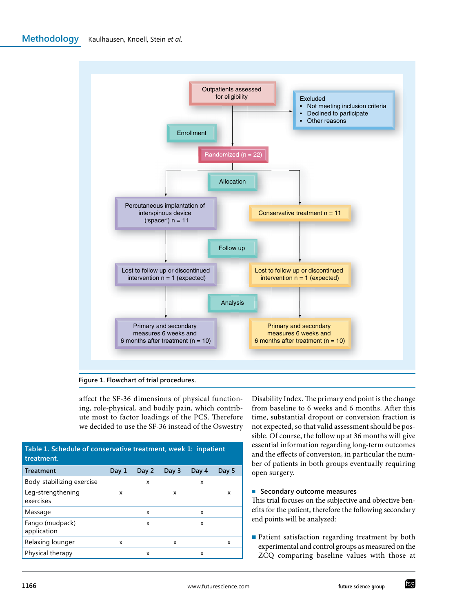**Methodology** Kaulhausen, Knoell, Stein *et al.*



**Figure 1. Flowchart of trial procedures.**

affect the SF-36 dimensions of physical functioning, role-physical, and bodily pain, which contribute most to factor loadings of the PCS. Therefore we decided to use the SF-36 instead of the Oswestry

| Table 1. Schedule of conservative treatment, week 1: inpatient<br>treatment. |       |       |       |       |       |  |  |  |
|------------------------------------------------------------------------------|-------|-------|-------|-------|-------|--|--|--|
| <b>Treatment</b>                                                             | Day 1 | Day 2 | Day 3 | Day 4 | Day 5 |  |  |  |
| Body-stabilizing exercise                                                    |       | x     |       | x     |       |  |  |  |
| Leg-strengthening<br>exercises                                               | X     |       | x     |       | X     |  |  |  |
| Massage                                                                      |       | x     |       | x     |       |  |  |  |
| Fango (mudpack)<br>application                                               |       | x     |       | x     |       |  |  |  |
| Relaxing lounger                                                             | X     |       | x     |       | X     |  |  |  |
| Physical therapy                                                             |       | x     |       | x     |       |  |  |  |

Disability Index. The primary end point is the change from baseline to 6 weeks and 6 months. After this time, substantial dropout or conversion fraction is not expected, so that valid assessment should be possible. Of course, the follow up at 36 months will give essential information regarding long-term outcomes and the effects of conversion, in particular the number of patients in both groups eventually requiring open surgery.

## ■ **Secondary outcome measures**

This trial focuses on the subjective and objective benefits for the patient, therefore the following secondary end points will be analyzed:

■ Patient satisfaction regarding treatment by both experimental and control groups as measured on the ZCQ comparing baseline values with those at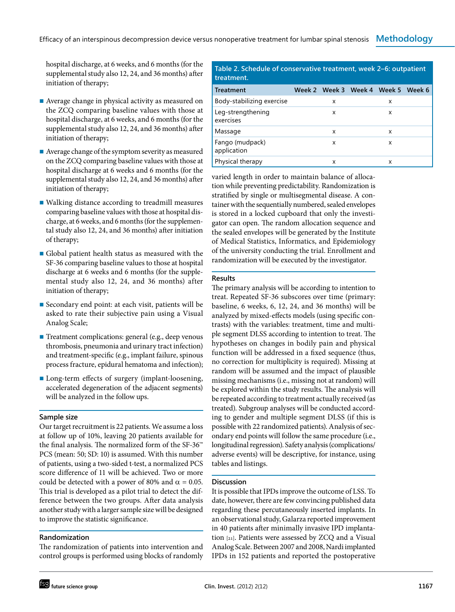hospital discharge, at 6 weeks, and 6 months (for the supplemental study also 12, 24, and 36 months) after initiation of therapy;

- Average change in physical activity as measured on the ZCQ comparing baseline values with those at hospital discharge, at 6 weeks, and 6 months (for the supplemental study also 12, 24, and 36 months) after initiation of therapy;
- Average change of the symptom severity as measured on the ZCQ comparing baseline values with those at hospital discharge at 6 weeks and 6 months (for the supplemental study also 12, 24, and 36 months) after initiation of therapy;
- Walking distance according to treadmill measures comparing baseline values with those at hospital discharge, at 6 weeks, and 6 months (for the supplemental study also 12, 24, and 36 months) after initiation of therapy;
- Global patient health status as measured with the SF-36 comparing baseline values to those at hospital discharge at 6 weeks and 6 months (for the supplemental study also 12, 24, and 36 months) after initiation of therapy;
- Secondary end point: at each visit, patients will be asked to rate their subjective pain using a Visual Analog Scale;
- Treatment complications: general (e.g., deep venous thrombosis, pneumonia and urinary tract infection) and treatment-specific (e.g., implant failure, spinous process fracture, epidural hematoma and infection);
- Long-term effects of surgery (implant-loosening, accelerated degeneration of the adjacent segments) will be analyzed in the follow ups.

#### **Sample size**

Our target recruitment is 22 patients. We assume a loss at follow up of 10%, leaving 20 patients available for the final analysis. The normalized form of the SF-36™ PCS (mean: 50; SD: 10) is assumed. With this number of patients, using a two-sided t-test, a normalized PCS score difference of 11 will be achieved. Two or more could be detected with a power of 80% and  $\alpha = 0.05$ . This trial is developed as a pilot trial to detect the difference between the two groups. After data analysis another study with a larger sample size will be designed to improve the statistic significance.

# **Randomization**

The randomization of patients into intervention and control groups is performed using blocks of randomly

| Table 2. Schedule of conservative treatment, week 2–6: outpatient<br>treatment. |  |                                    |  |   |  |  |  |  |  |
|---------------------------------------------------------------------------------|--|------------------------------------|--|---|--|--|--|--|--|
| <b>Treatment</b>                                                                |  | Week 2 Week 3 Week 4 Week 5 Week 6 |  |   |  |  |  |  |  |
| Body-stabilizing exercise                                                       |  | x                                  |  | x |  |  |  |  |  |
| Leg-strengthening<br>exercises                                                  |  | x                                  |  | x |  |  |  |  |  |
| Massage                                                                         |  | X                                  |  | x |  |  |  |  |  |
| Fango (mudpack)<br>application                                                  |  | x                                  |  | x |  |  |  |  |  |
| Physical therapy                                                                |  | x                                  |  | x |  |  |  |  |  |

varied length in order to maintain balance of allocation while preventing predictability. Randomization is stratified by single or multisegmental disease. A container with the sequentially numbered, sealed envelopes is stored in a locked cupboard that only the investigator can open. The random allocation sequence and the sealed envelopes will be generated by the Institute of Medical Statistics, Informatics, and Epidemiology of the university conducting the trial. Enrollment and randomization will be executed by the investigator.

#### **Results**

The primary analysis will be according to intention to treat. Repeated SF-36 subscores over time (primary: baseline, 6 weeks, 6, 12, 24, and 36 months) will be analyzed by mixed-effects models (using specific contrasts) with the variables: treatment, time and multiple segment DLSS according to intention to treat. The hypotheses on changes in bodily pain and physical function will be addressed in a fixed sequence (thus, no correction for multiplicity is required). Missing at random will be assumed and the impact of plausible missing mechanisms (i.e., missing not at random) will be explored within the study results. The analysis will be repeated according to treatment actually received (as treated). Subgroup analyses will be conducted according to gender and multiple segment DLSS (if this is possible with 22 randomized patients). Analysis of secondary end points will follow the same procedure (i.e., longitudinal regression). Safety analysis (complications/ adverse events) will be descriptive, for instance, using tables and listings.

#### **Discussion**

It is possible that IPDs improve the outcome of LSS. To date, however, there are few convincing published data regarding these percutaneously inserted implants. In an observational study, Galarza reported improvement in 40 patients after minimally invasive IPD implantation [21]. Patients were assessed by ZCQ and a Visual Analog Scale. Between 2007 and 2008, Nardi implanted IPDs in 152 patients and reported the postoperative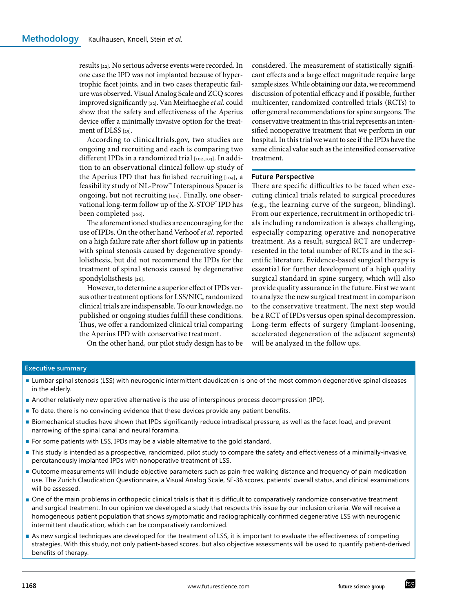results [22]. No serious adverse events were recorded. In one case the IPD was not implanted because of hypertrophic facet joints, and in two cases therapeutic failure was observed. Visual Analog Scale and ZCQ scores improved significantly [22]. Van Meirhaeghe *et al.* could show that the safety and effectiveness of the Aperius device offer a minimally invasive option for the treatment of DLSS [25].

According to clinicaltrials.gov, two studies are ongoing and recruiting and each is comparing two different IPDs in a randomized trial [102,103]. In addition to an observational clinical follow-up study of the Aperius IPD that has finished recruiting [104], a feasibility study of NL-Prow™ Interspinous Spacer is ongoing, but not recruiting [105]. Finally, one observational long-term follow up of the X-STOP° IPD has been completed [106].

The aforementioned studies are encouraging for the use of IPDs. On the other hand Verhoof *et al.* reported on a high failure rate after short follow up in patients with spinal stenosis caused by degenerative spondylolisthesis, but did not recommend the IPDs for the treatment of spinal stenosis caused by degenerative spondylolisthesis [26].

However, to determine a superior effect of IPDs versus other treatment options for LSS/NIC, randomized clinical trials are indispensable. To our knowledge, no published or ongoing studies fulfill these conditions. Thus, we offer a randomized clinical trial comparing the Aperius IPD with conservative treatment.

On the other hand, our pilot study design has to be

considered. The measurement of statistically significant effects and a large effect magnitude require large sample sizes. While obtaining our data, we recommend discussion of potential efficacy and if possible, further multicenter, randomized controlled trials (RCTs) to offer general recommendations for spine surgeons. The conservative treatment in this trial represents an intensified nonoperative treatment that we perform in our hospital. In this trial we want to see if the IPDs have the same clinical value such as the intensified conservative treatment.

#### **Future Perspective**

There are specific difficulties to be faced when executing clinical trials related to surgical procedures (e.g., the learning curve of the surgeon, blinding). From our experience, recruitment in orthopedic trials including randomization is always challenging, especially comparing operative and nonoperative treatment. As a result, surgical RCT are underrepresented in the total number of RCTs and in the scientific literature. Evidence-based surgical therapy is essential for further development of a high quality surgical standard in spine surgery, which will also provide quality assurance in the future. First we want to analyze the new surgical treatment in comparison to the conservative treatment. The next step would be a RCT of IPDs versus open spinal decompression. Long-term effects of surgery (implant-loosening, accelerated degeneration of the adjacent segments) will be analyzed in the follow ups.

# **Executive summary**

- Lumbar spinal stenosis (LSS) with neurogenic intermittent claudication is one of the most common degenerative spinal diseases in the elderly.
- Another relatively new operative alternative is the use of interspinous process decompression (IPD).
- To date, there is no convincing evidence that these devices provide any patient benefits.
- Biomechanical studies have shown that IPDs significantly reduce intradiscal pressure, as well as the facet load, and prevent narrowing of the spinal canal and neural foramina.
- For some patients with LSS, IPDs may be a viable alternative to the gold standard.
- This study is intended as a prospective, randomized, pilot study to compare the safety and effectiveness of a minimally-invasive, percutaneously implanted IPDs with nonoperative treatment of LSS.
- Outcome measurements will include objective parameters such as pain-free walking distance and frequency of pain medication use. The Zurich Claudication Questionnaire, a Visual Analog Scale, SF-36 scores, patients' overall status, and clinical examinations will be assessed.
- One of the main problems in orthopedic clinical trials is that it is difficult to comparatively randomize conservative treatment and surgical treatment. In our opinion we developed a study that respects this issue by our inclusion criteria. We will receive a homogeneous patient population that shows symptomatic and radiographically confirmed degenerative LSS with neurogenic intermittent claudication, which can be comparatively randomized.
- As new surgical techniques are developed for the treatment of LSS, it is important to evaluate the effectiveness of competing strategies. With this study, not only patient-based scores, but also objective assessments will be used to quantify patient-derived benefits of therapy.

fsg